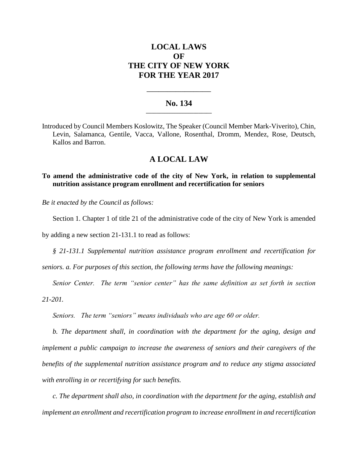# **LOCAL LAWS OF THE CITY OF NEW YORK FOR THE YEAR 2017**

### **No. 134 \_\_\_\_\_\_\_\_\_\_\_\_\_\_\_\_\_\_\_\_\_\_\_\_\_**

**\_\_\_\_\_\_\_\_\_\_\_\_\_\_\_\_\_\_\_\_\_\_**

Introduced by Council Members Koslowitz, The Speaker (Council Member Mark-Viverito), Chin, Levin, Salamanca, Gentile, Vacca, Vallone, Rosenthal, Dromm, Mendez, Rose, Deutsch, Kallos and Barron.

## **A LOCAL LAW**

### **To amend the administrative code of the city of New York, in relation to supplemental nutrition assistance program enrollment and recertification for seniors**

*Be it enacted by the Council as follows:*

Section 1. Chapter 1 of title 21 of the administrative code of the city of New York is amended

by adding a new section 21-131.1 to read as follows:

*§ 21-131.1 Supplemental nutrition assistance program enrollment and recertification for* 

*seniors. a. For purposes of this section, the following terms have the following meanings:*

*Senior Center. The term "senior center" has the same definition as set forth in section 21-201.* 

*Seniors. The term "seniors" means individuals who are age 60 or older.* 

*b. The department shall, in coordination with the department for the aging, design and implement a public campaign to increase the awareness of seniors and their caregivers of the benefits of the supplemental nutrition assistance program and to reduce any stigma associated with enrolling in or recertifying for such benefits.* 

*c. The department shall also, in coordination with the department for the aging, establish and implement an enrollment and recertification program to increase enrollment in and recertification*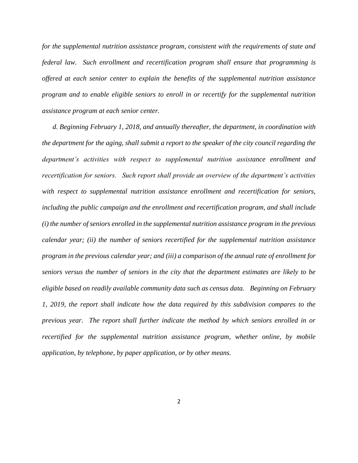*for the supplemental nutrition assistance program, consistent with the requirements of state and federal law. Such enrollment and recertification program shall ensure that programming is offered at each senior center to explain the benefits of the supplemental nutrition assistance program and to enable eligible seniors to enroll in or recertify for the supplemental nutrition assistance program at each senior center.* 

*d. Beginning February 1, 2018, and annually thereafter, the department, in coordination with the department for the aging, shall submit a report to the speaker of the city council regarding the department's activities with respect to supplemental nutrition assistance enrollment and recertification for seniors. Such report shall provide an overview of the department's activities with respect to supplemental nutrition assistance enrollment and recertification for seniors, including the public campaign and the enrollment and recertification program, and shall include (i) the number of seniors enrolled in the supplemental nutrition assistance program in the previous calendar year; (ii) the number of seniors recertified for the supplemental nutrition assistance program in the previous calendar year; and (iii) a comparison of the annual rate of enrollment for seniors versus the number of seniors in the city that the department estimates are likely to be eligible based on readily available community data such as census data. Beginning on February 1, 2019, the report shall indicate how the data required by this subdivision compares to the previous year. The report shall further indicate the method by which seniors enrolled in or recertified for the supplemental nutrition assistance program, whether online, by mobile application, by telephone, by paper application, or by other means.*